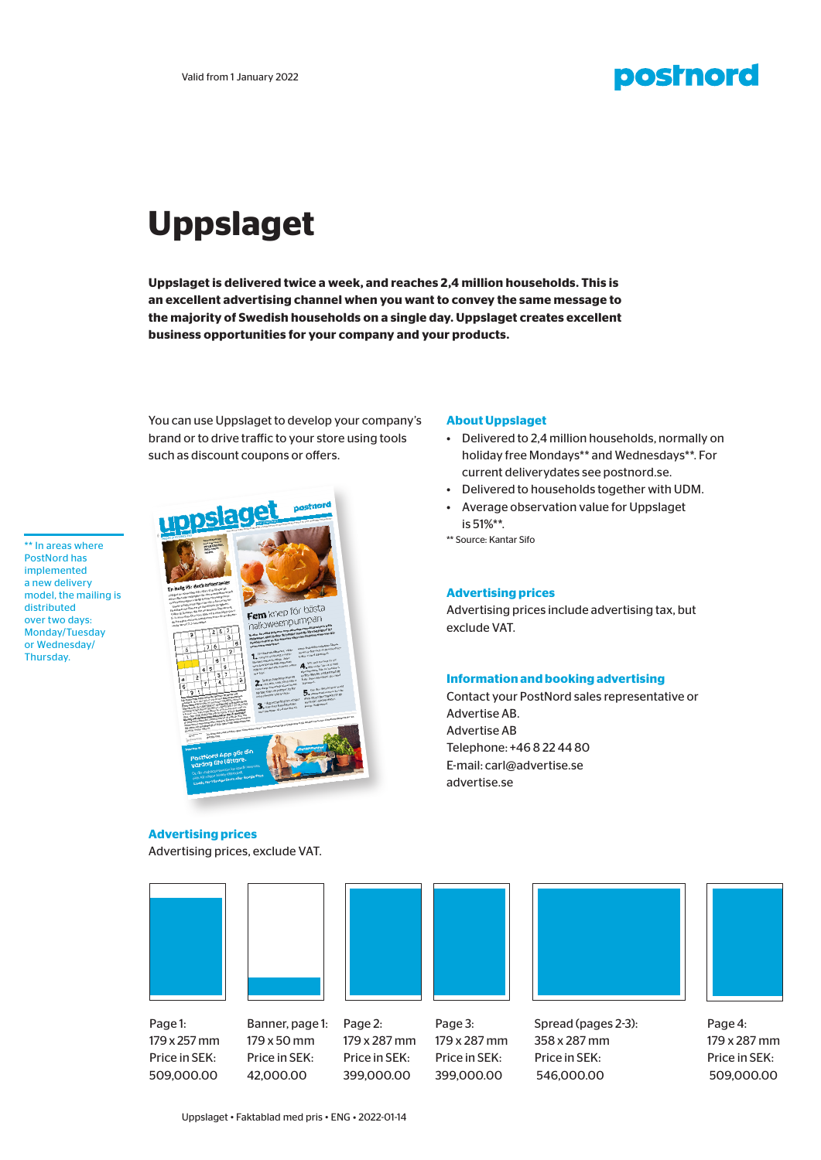### **postnord**

## **Uppslaget**

**Uppslaget is delivered twice a week, and reaches 2,4 million households. This is an excellent advertising channel when you want to convey the same message to the majority of Swedish households on a single day. Uppslaget creates excellent business opportunities for your company and your products.** 

You can use Uppslaget to develop your company's brand or to drive traffic to your store using tools such as discount coupons or offers.

\*\* In areas where PostNord has implemented a new delivery model, the mailing is distributed over two days: Monday/Tuesday or Wednesday/ Thursday.

# Fem knep för bästa halloweenpumpar

#### **About Uppslaget**

- Delivered to 2,4 million households, normally on holiday free Mondays\*\* and Wednesdays\*\*. For current deliverydates see postnord.se.
- Delivered to households together with UDM.
- Average observation value for Uppslaget is 51%\*\*.

\*\* Source: Kantar Sifo

#### **Advertising prices**

Advertising prices include advertising tax, but exclude VAT.

#### **Information and booking advertising**

Contact your PostNord sales representative or Advertise AB. Advertise AB Telephone: +46 8 22 44 80 E-mail: carl@advertise.se advertise.se

#### **Advertising prices**

Advertising prices, exclude VAT.











Page 3: 179 x 287 mm Price in SEK: 399,000.00



Spread (pages 2-3): 358 x 287 mm Price in SEK: 546,000.00



Page 4: 179 x 287 mm Price in SEK: 509,000.00